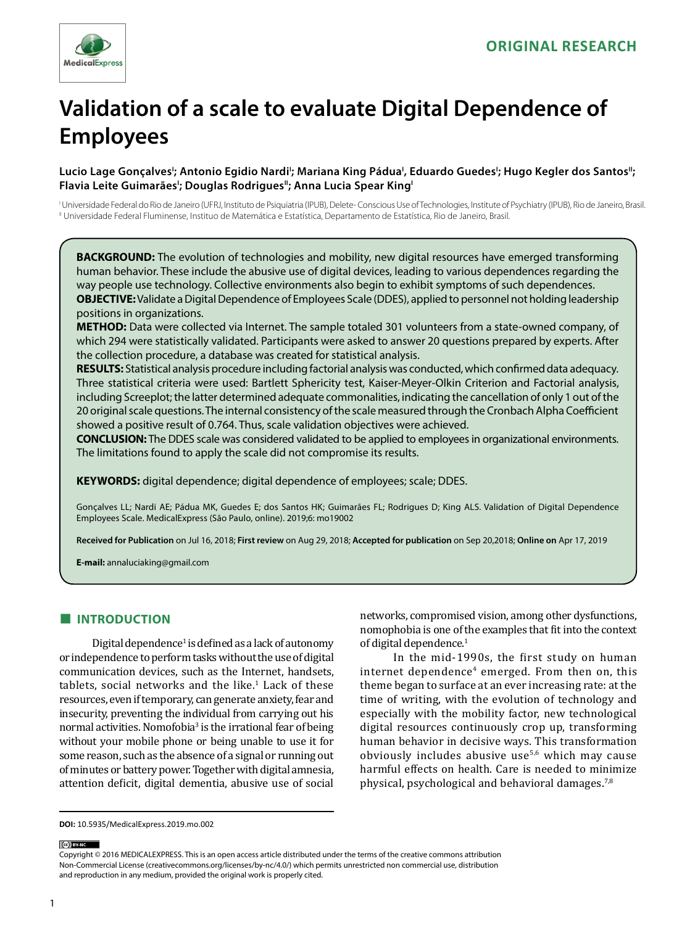

# **Validation of a scale to evaluate Digital Dependence of Employees**

Lucio Lage Gonçalves'; Antonio Egidio Nardi'; Mariana King Pádua', Eduardo Guedes'; Hugo Kegler dos Santos"; Flavia Leite Guimarães'; Douglas Rodrigues**"; Anna Lucia Spear King**'

I Universidade Federal do Rio de Janeiro (UFRJ, Instituto de Psiquiatria (IPUB), Delete- Conscious Use of Technologies, Institute of Psychiatry (IPUB), Rio de Janeiro, Brasil. II Universidade Federal Fluminense, Instituo de Matemática e Estatística, Departamento de Estatística, Rio de Janeiro, Brasil.

**BACKGROUND:** The evolution of technologies and mobility, new digital resources have emerged transforming human behavior. These include the abusive use of digital devices, leading to various dependences regarding the way people use technology. Collective environments also begin to exhibit symptoms of such dependences. **OBJECTIVE:** Validate a Digital Dependence of Employees Scale (DDES), applied to personnel not holding leadership positions in organizations.

**METHOD:** Data were collected via Internet. The sample totaled 301 volunteers from a state-owned company, of which 294 were statistically validated. Participants were asked to answer 20 questions prepared by experts. After the collection procedure, a database was created for statistical analysis.

**RESULTS:** Statistical analysis procedure including factorial analysis was conducted, which confirmed data adequacy. Three statistical criteria were used: Bartlett Sphericity test, Kaiser-Meyer-Olkin Criterion and Factorial analysis, including Screeplot; the latter determined adequate commonalities, indicating the cancellation of only 1 out of the 20 original scale questions. The internal consistency of the scale measured through the Cronbach Alpha Coefficient showed a positive result of 0.764. Thus, scale validation objectives were achieved.

**CONCLUSION:** The DDES scale was considered validated to be applied to employees in organizational environments. The limitations found to apply the scale did not compromise its results.

**KEYWORDS:** digital dependence; digital dependence of employees; scale; DDES.

Gonçalves LL; Nardi AE; Pádua MK, Guedes E; dos Santos HK; Guimarães FL; Rodrigues D; King ALS. Validation of Digital Dependence Employees Scale. MedicalExpress (São Paulo, online). 2019;6: mo19002

**Received for Publication** on Jul 16, 2018; **First review** on Aug 29, 2018; **Accepted for publication** on Sep 20,2018; **Online on** Apr 17, 2019

**E-mail:** annaluciaking@gmail.com

# **■ INTRODUCTION**

Digital dependence $^1$  is defined as a lack of autonomy or independence to perform tasks without the use of digital communication devices, such as the Internet, handsets, tablets, social networks and the like. $1$  Lack of these resources, even if temporary, can generate anxiety, fear and insecurity, preventing the individual from carrying out his normal activities. Nomofobia<sup>3</sup> is the irrational fear of being without your mobile phone or being unable to use it for some reason, such as the absence of a signal or running out of minutes or battery power. Together with digital amnesia, attention deficit, digital dementia, abusive use of social networks, compromised vision, among other dysfunctions, nomophobia is one of the examples that fit into the context of digital dependence.<sup>1</sup>

In the mid-1990s, the first study on human internet dependence<sup>4</sup> emerged. From then on, this theme began to surface at an ever increasing rate: at the time of writing, with the evolution of technology and especially with the mobility factor, new technological digital resources continuously crop up, transforming human behavior in decisive ways. This transformation obviously includes abusive use5,6 which may cause harmful effects on health. Care is needed to minimize physical, psychological and behavioral damages.7,8

(ce) BY-NC

Copyright © 2016 MEDICALEXPRESS. This is an open access article distributed under the terms of the creative commons attribution Non-Commercial License [\(creativecommons.org/licenses/by-nc/4.0/\)](http://creativecommons.org/licenses/by-nc/3.0/) which permits unrestricted non commercial use, distribution and reproduction in any medium, provided the original work is properly cited.

**DOI:** 10.5935/MedicalExpress.2019.mo.002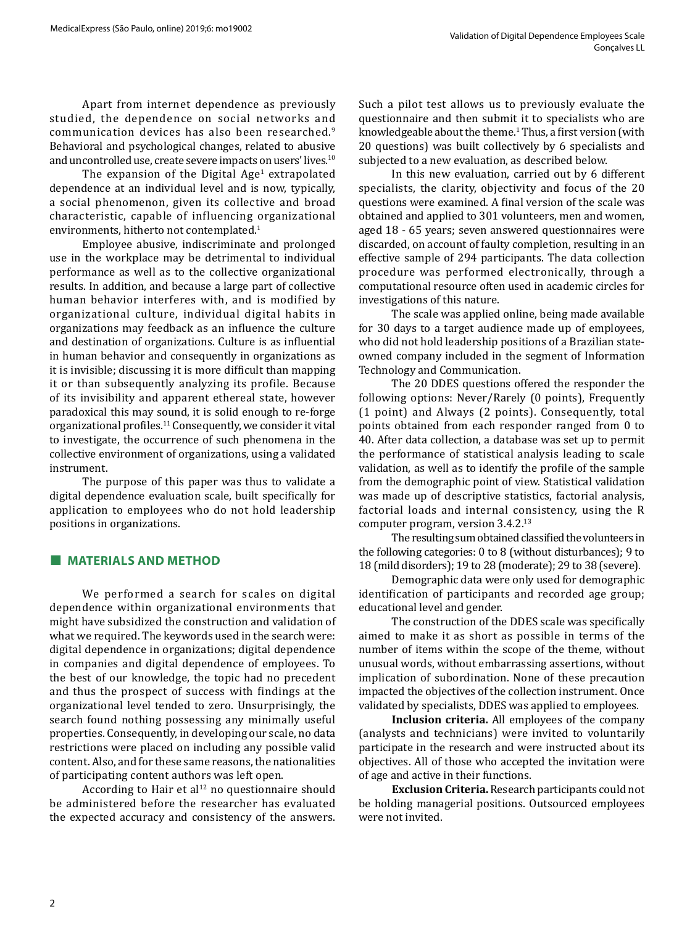Apart from internet dependence as previously studied, the dependence on social networks and communication devices has also been researched.<sup>9</sup> Behavioral and psychological changes, related to abusive and uncontrolled use, create severe impacts on users' lives.<sup>10</sup>

The expansion of the Digital  $Age<sup>1</sup>$  extrapolated dependence at an individual level and is now, typically, a social phenomenon, given its collective and broad characteristic, capable of influencing organizational environments, hitherto not contemplated.<sup>1</sup>

Employee abusive, indiscriminate and prolonged use in the workplace may be detrimental to individual performance as well as to the collective organizational results. In addition, and because a large part of collective human behavior interferes with, and is modified by organizational culture, individual digital habits in organizations may feedback as an influence the culture and destination of organizations. Culture is as influential in human behavior and consequently in organizations as it is invisible; discussing it is more difficult than mapping it or than subsequently analyzing its profile. Because of its invisibility and apparent ethereal state, however paradoxical this may sound, it is solid enough to re-forge organizational profiles.<sup>11</sup> Consequently, we consider it vital to investigate, the occurrence of such phenomena in the collective environment of organizations, using a validated instrument.

The purpose of this paper was thus to validate a digital dependence evaluation scale, built specifically for application to employees who do not hold leadership positions in organizations.

## **■ MATERIALS AND METHOD**

We performed a search for scales on digital dependence within organizational environments that might have subsidized the construction and validation of what we required. The keywords used in the search were: digital dependence in organizations; digital dependence in companies and digital dependence of employees. To the best of our knowledge, the topic had no precedent and thus the prospect of success with findings at the organizational level tended to zero. Unsurprisingly, the search found nothing possessing any minimally useful properties. Consequently, in developing our scale, no data restrictions were placed on including any possible valid content. Also, and for these same reasons, the nationalities of participating content authors was left open.

According to Hair et al $12$  no questionnaire should be administered before the researcher has evaluated the expected accuracy and consistency of the answers.

Such a pilot test allows us to previously evaluate the questionnaire and then submit it to specialists who are knowledgeable about the theme. $^1$  Thus, a first version (with 20 questions) was built collectively by 6 specialists and subjected to a new evaluation, as described below.

In this new evaluation, carried out by 6 different specialists, the clarity, objectivity and focus of the 20 questions were examined. A final version of the scale was obtained and applied to 301 volunteers, men and women, aged 18 - 65 years; seven answered questionnaires were discarded, on account of faulty completion, resulting in an effective sample of 294 participants. The data collection procedure was performed electronically, through a computational resource often used in academic circles for investigations of this nature.

The scale was applied online, being made available for 30 days to a target audience made up of employees, who did not hold leadership positions of a Brazilian stateowned company included in the segment of Information Technology and Communication.

The 20 DDES questions offered the responder the following options: Never/Rarely (0 points), Frequently (1 point) and Always (2 points). Consequently, total points obtained from each responder ranged from 0 to 40. After data collection, a database was set up to permit the performance of statistical analysis leading to scale validation, as well as to identify the profile of the sample from the demographic point of view. Statistical validation was made up of descriptive statistics, factorial analysis, factorial loads and internal consistency, using the R computer program, version 3.4.2.<sup>13</sup>

The resulting sum obtained classified the volunteers in the following categories: 0 to 8 (without disturbances); 9 to 18 (mild disorders); 19 to 28 (moderate); 29 to 38 (severe).

Demographic data were only used for demographic identification of participants and recorded age group; educational level and gender.

The construction of the DDES scale was specifically aimed to make it as short as possible in terms of the number of items within the scope of the theme, without unusual words, without embarrassing assertions, without implication of subordination. None of these precaution impacted the objectives of the collection instrument. Once validated by specialists, DDES was applied to employees.

**Inclusion criteria.** All employees of the company (analysts and technicians) were invited to voluntarily participate in the research and were instructed about its objectives. All of those who accepted the invitation were of age and active in their functions.

**Exclusion Criteria.** Research participants could not be holding managerial positions. Outsourced employees were not invited.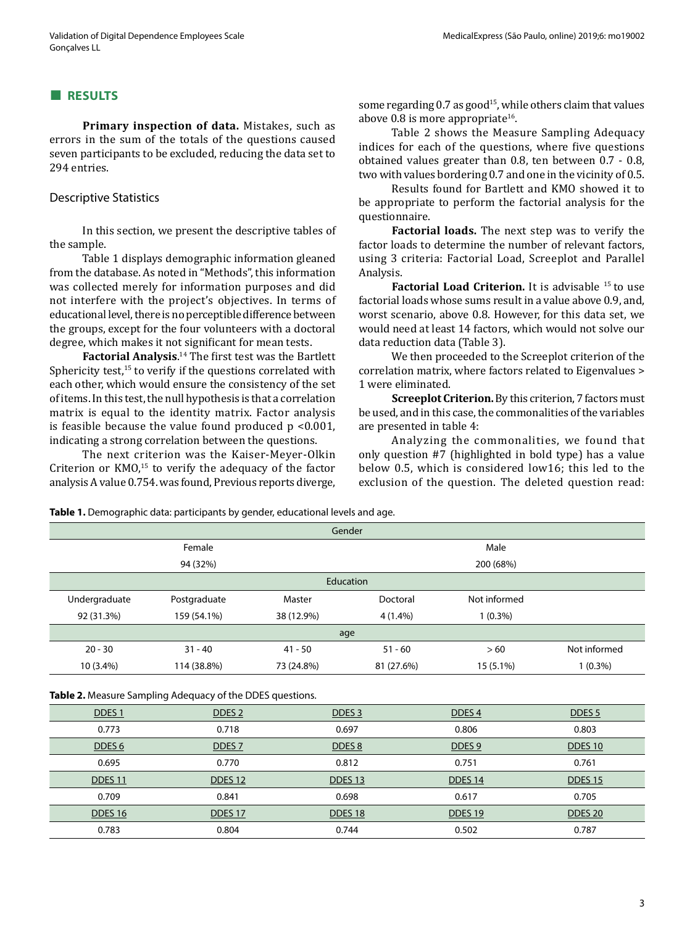## **■ RESULTS**

**Primary inspection of data.** Mistakes, such as errors in the sum of the totals of the questions caused seven participants to be excluded, reducing the data set to 294 entries.

## Descriptive Statistics

In this section, we present the descriptive tables of the sample.

Table 1 displays demographic information gleaned from the database. As noted in "Methods", this information was collected merely for information purposes and did not interfere with the project's objectives. In terms of educational level, there is no perceptible difference between the groups, except for the four volunteers with a doctoral degree, which makes it not significant for mean tests.

**Factorial Analysis**. <sup>14</sup> The first test was the Bartlett Sphericity test,<sup>15</sup> to verify if the questions correlated with each other, which would ensure the consistency of the set of items. In this test, the null hypothesis is that a correlation matrix is equal to the identity matrix. Factor analysis is feasible because the value found produced p <0.001, indicating a strong correlation between the questions.

The next criterion was the Kaiser-Meyer-Olkin Criterion or  $KMO<sub>15</sub>$  to verify the adequacy of the factor analysis A value 0.754. was found, Previous reports diverge,

some regarding  $0.7$  as good<sup>15</sup>, while others claim that values above 0.8 is more appropriate<sup>16</sup>.

Table 2 shows the Measure Sampling Adequacy indices for each of the questions, where five questions obtained values greater than 0.8, ten between 0.7 - 0.8, two with values bordering 0.7 and one in the vicinity of 0.5.

Results found for Bartlett and KMO showed it to be appropriate to perform the factorial analysis for the questionnaire.

**Factorial loads.** The next step was to verify the factor loads to determine the number of relevant factors, using 3 criteria: Factorial Load, Screeplot and Parallel Analysis.

**Factorial Load Criterion.** It is advisable <sup>15</sup> to use factorial loads whose sums result in a value above 0.9, and, worst scenario, above 0.8. However, for this data set, we would need at least 14 factors, which would not solve our data reduction data (Table 3).

We then proceeded to the Screeplot criterion of the correlation matrix, where factors related to Eigenvalues > 1 were eliminated.

**Screeplot Criterion.** By this criterion, 7 factors must be used, and in this case, the commonalities of the variables are presented in table 4:

Analyzing the commonalities, we found that only question #7 (highlighted in bold type) has a value below 0.5, which is considered low16; this led to the exclusion of the question. The deleted question read:

**Table 1.** Demographic data: participants by gender, educational levels and age.

| Gender        |              |            |            |              |              |
|---------------|--------------|------------|------------|--------------|--------------|
| Female        |              |            |            | Male         |              |
| 94 (32%)      |              |            |            | 200 (68%)    |              |
| Education     |              |            |            |              |              |
| Undergraduate | Postgraduate | Master     | Doctoral   | Not informed |              |
| 92 (31.3%)    | 159 (54.1%)  | 38 (12.9%) | 4 (1.4%)   | $1(0.3\%)$   |              |
| age           |              |            |            |              |              |
| $20 - 30$     | $31 - 40$    | $41 - 50$  | $51 - 60$  | >60          | Not informed |
| 10 (3.4%)     | 114 (38.8%)  | 73 (24.8%) | 81 (27.6%) | 15 (5.1%)    | $1(0.3\%)$   |

**Table 2.** Measure Sampling Adequacy of the DDES questions.

| DDES <sub>1</sub>  | DDES <sub>2</sub>  | DDES <sub>3</sub>  | DDES <sub>4</sub>  | DDES <sub>5</sub>  |
|--------------------|--------------------|--------------------|--------------------|--------------------|
| 0.773              | 0.718              | 0.697              | 0.806              | 0.803              |
| DDES <sub>6</sub>  | DDES <sub>7</sub>  | DDES <sub>8</sub>  | DDES <sub>9</sub>  | DDES 10            |
| 0.695              | 0.770              | 0.812              | 0.751              | 0.761              |
| DDES <sub>11</sub> | DDES <sub>12</sub> | DDES <sub>13</sub> | DDES <sub>14</sub> | DDES <sub>15</sub> |
| 0.709              | 0.841              | 0.698              | 0.617              | 0.705              |
| DDES <sub>16</sub> | DDES <sub>17</sub> | DDES <sub>18</sub> | DDES <sub>19</sub> | DDES <sub>20</sub> |
| 0.783              | 0.804              | 0.744              | 0.502              | 0.787              |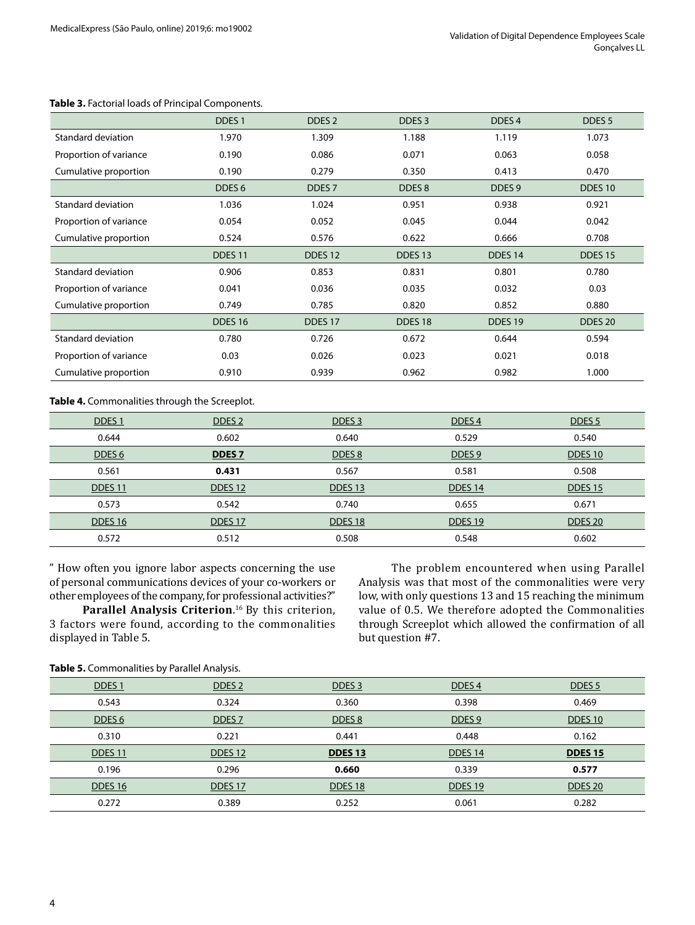|                        | DDES <sub>1</sub>  | DDES <sub>2</sub>  | DDES <sub>3</sub>  | DDES <sub>4</sub>  | DDES <sub>5</sub>  |
|------------------------|--------------------|--------------------|--------------------|--------------------|--------------------|
| Standard deviation     | 1.970              | 1.309              | 1.188              | 1.119              | 1.073              |
| Proportion of variance | 0.190              | 0.086              | 0.071              | 0.063              | 0.058              |
| Cumulative proportion  | 0.190              | 0.279              | 0.350              | 0.413              | 0.470              |
|                        | DDES <sub>6</sub>  | DDES <sub>7</sub>  | DDES <sub>8</sub>  | DDES <sub>9</sub>  | DDES <sub>10</sub> |
| Standard deviation     | 1.036              | 1.024              | 0.951              | 0.938              | 0.921              |
| Proportion of variance | 0.054              | 0.052              | 0.045              | 0.044              | 0.042              |
| Cumulative proportion  | 0.524              | 0.576              | 0.622              | 0.666              | 0.708              |
|                        | DDES <sub>11</sub> | DDES <sub>12</sub> | DDES <sub>13</sub> | DDES <sub>14</sub> | DDES <sub>15</sub> |
| Standard deviation     | 0.906              | 0.853              | 0.831              | 0.801              | 0.780              |
| Proportion of variance | 0.041              | 0.036              | 0.035              | 0.032              | 0.03               |
| Cumulative proportion  | 0.749              | 0.785              | 0.820              | 0.852              | 0.880              |
|                        | DDES <sub>16</sub> | DDES <sub>17</sub> | DDES <sub>18</sub> | DDES <sub>19</sub> | DDES <sub>20</sub> |
| Standard deviation     | 0.780              | 0.726              | 0.672              | 0.644              | 0.594              |
| Proportion of variance | 0.03               | 0.026              | 0.023              | 0.021              | 0.018              |
| Cumulative proportion  | 0.910              | 0.939              | 0.962              | 0.982              | 1.000              |

#### **Table 3.** Factorial loads of Principal Components.

**Table 4.** Commonalities through the Screeplot.

| DDES <sub>1</sub>  | DDES <sub>2</sub>  | DDES <sub>3</sub>  | DDES <sub>4</sub>  | DDES <sub>5</sub>  |
|--------------------|--------------------|--------------------|--------------------|--------------------|
| 0.644              | 0.602              | 0.640              | 0.529              | 0.540              |
| DDES <sub>6</sub>  | <b>DDES7</b>       | DDES <sub>8</sub>  | DDES <sub>9</sub>  | DDES 10            |
| 0.561              | 0.431              | 0.567              | 0.581              | 0.508              |
| DDES <sub>11</sub> | DDES <sub>12</sub> | DDES <sub>13</sub> | DDES <sub>14</sub> | DDES <sub>15</sub> |
| 0.573              | 0.542              | 0.740              | 0.655              | 0.671              |
| DDES <sub>16</sub> | DDES <sub>17</sub> | DDES <sub>18</sub> | DDES <sub>19</sub> | DDES 20            |
| 0.572              | 0.512              | 0.508              | 0.548              | 0.602              |

" How often you ignore labor aspects concerning the use of personal communications devices of your co-workers or other employees of the company, for professional activities?"

**Parallel Analysis Criterion**. 16 By this criterion, 3 factors were found, according to the commonalities displayed in Table 5.

The problem encountered when using Parallel Analysis was that most of the commonalities were very low, with only questions 13 and 15 reaching the minimum value of 0.5. We therefore adopted the Commonalities through Screeplot which allowed the confirmation of all but question #7.

**Table 5.** Commonalities by Parallel Analysis.

| DDES <sub>1</sub>  | DDES <sub>2</sub>  | DDES <sub>3</sub>  | DDES <sub>4</sub>  | DDES <sub>5</sub> |
|--------------------|--------------------|--------------------|--------------------|-------------------|
| 0.543              | 0.324              | 0.360              | 0.398              | 0.469             |
| DDES <sub>6</sub>  | DDES <sub>7</sub>  | DDES <sub>8</sub>  | DDES <sub>9</sub>  | DDES 10           |
| 0.310              | 0.221              | 0.441              | 0.448              | 0.162             |
| DDES <sub>11</sub> | DDES <sub>12</sub> | <b>DDES 13</b>     | DDES 14            | <b>DDES 15</b>    |
| 0.196              | 0.296              | 0.660              | 0.339              | 0.577             |
| DDES <sub>16</sub> | DDES <sub>17</sub> | DDES <sub>18</sub> | DDES <sub>19</sub> | DDES 20           |
| 0.272              | 0.389              | 0.252              | 0.061              | 0.282             |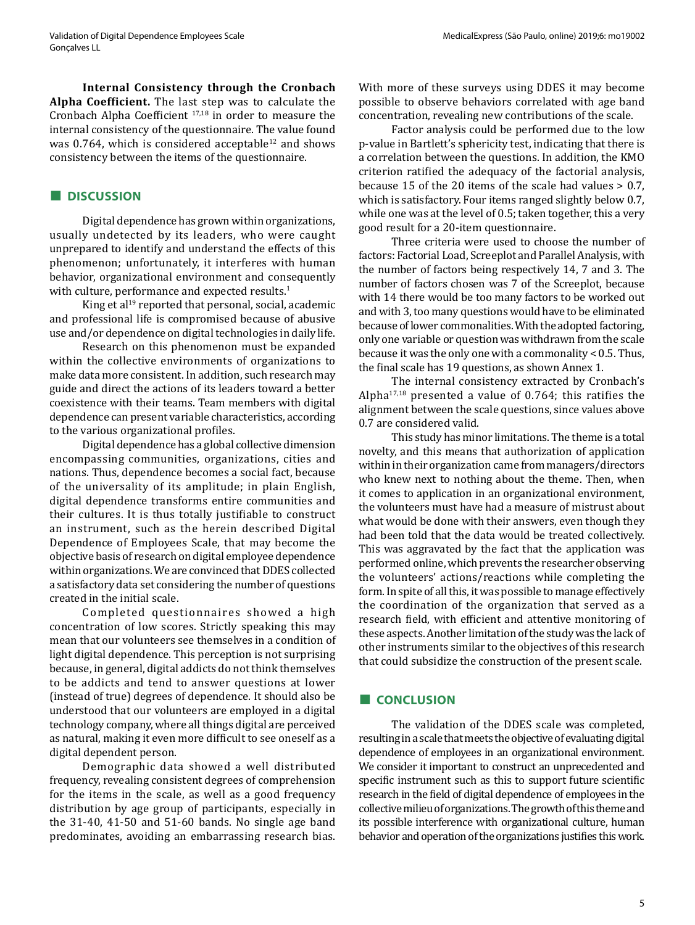**Internal Consistency through the Cronbach Alpha Coefficient.** The last step was to calculate the Cronbach Alpha Coefficient 17,18 in order to measure the internal consistency of the questionnaire. The value found was 0.764, which is considered acceptable<sup>12</sup> and shows consistency between the items of the questionnaire.

# **■ DISCUSSION**

Digital dependence has grown within organizations, usually undetected by its leaders, who were caught unprepared to identify and understand the effects of this phenomenon; unfortunately, it interferes with human behavior, organizational environment and consequently with culture, performance and expected results.<sup>1</sup>

King et al<sup>19</sup> reported that personal, social, academic and professional life is compromised because of abusive use and/or dependence on digital technologies in daily life.

Research on this phenomenon must be expanded within the collective environments of organizations to make data more consistent. In addition, such research may guide and direct the actions of its leaders toward a better coexistence with their teams. Team members with digital dependence can present variable characteristics, according to the various organizational profiles.

Digital dependence has a global collective dimension encompassing communities, organizations, cities and nations. Thus, dependence becomes a social fact, because of the universality of its amplitude; in plain English, digital dependence transforms entire communities and their cultures. It is thus totally justifiable to construct an instrument, such as the herein described Digital Dependence of Employees Scale, that may become the objective basis of research on digital employee dependence within organizations. We are convinced that DDES collected a satisfactory data set considering the number of questions created in the initial scale.

Completed questionnaires showed a high concentration of low scores. Strictly speaking this may mean that our volunteers see themselves in a condition of light digital dependence. This perception is not surprising because, in general, digital addicts do not think themselves to be addicts and tend to answer questions at lower (instead of true) degrees of dependence. It should also be understood that our volunteers are employed in a digital technology company, where all things digital are perceived as natural, making it even more difficult to see oneself as a digital dependent person.

Demographic data showed a well distributed frequency, revealing consistent degrees of comprehension for the items in the scale, as well as a good frequency distribution by age group of participants, especially in the 31-40, 41-50 and 51-60 bands. No single age band predominates, avoiding an embarrassing research bias. With more of these surveys using DDES it may become possible to observe behaviors correlated with age band concentration, revealing new contributions of the scale.

Factor analysis could be performed due to the low p-value in Bartlett's sphericity test, indicating that there is a correlation between the questions. In addition, the KMO criterion ratified the adequacy of the factorial analysis, because 15 of the 20 items of the scale had values > 0.7, which is satisfactory. Four items ranged slightly below 0.7, while one was at the level of 0.5; taken together, this a very good result for a 20-item questionnaire.

Three criteria were used to choose the number of factors: Factorial Load, Screeplot and Parallel Analysis, with the number of factors being respectively 14, 7 and 3. The number of factors chosen was 7 of the Screeplot, because with 14 there would be too many factors to be worked out and with 3, too many questions would have to be eliminated because of lower commonalities. With the adopted factoring, only one variable or question was withdrawn from the scale because it was the only one with a commonality < 0.5. Thus, the final scale has 19 questions, as shown Annex 1.

The internal consistency extracted by Cronbach's Alpha<sup>17,18</sup> presented a value of 0.764; this ratifies the alignment between the scale questions, since values above 0.7 are considered valid.

This study has minor limitations. The theme is a total novelty, and this means that authorization of application within in their organization came from managers/directors who knew next to nothing about the theme. Then, when it comes to application in an organizational environment, the volunteers must have had a measure of mistrust about what would be done with their answers, even though they had been told that the data would be treated collectively. This was aggravated by the fact that the application was performed online, which prevents the researcher observing the volunteers' actions/reactions while completing the form. In spite of all this, it was possible to manage effectively the coordination of the organization that served as a research field, with efficient and attentive monitoring of these aspects. Another limitation of the study was the lack of other instruments similar to the objectives of this research that could subsidize the construction of the present scale.

# **■ CONCLUSION**

The validation of the DDES scale was completed, resulting in a scale that meets the objective of evaluating digital dependence of employees in an organizational environment. We consider it important to construct an unprecedented and specific instrument such as this to support future scientific research in the field of digital dependence of employees in the collective milieu of organizations. The growth of this theme and its possible interference with organizational culture, human behavior and operation of the organizations justifies this work.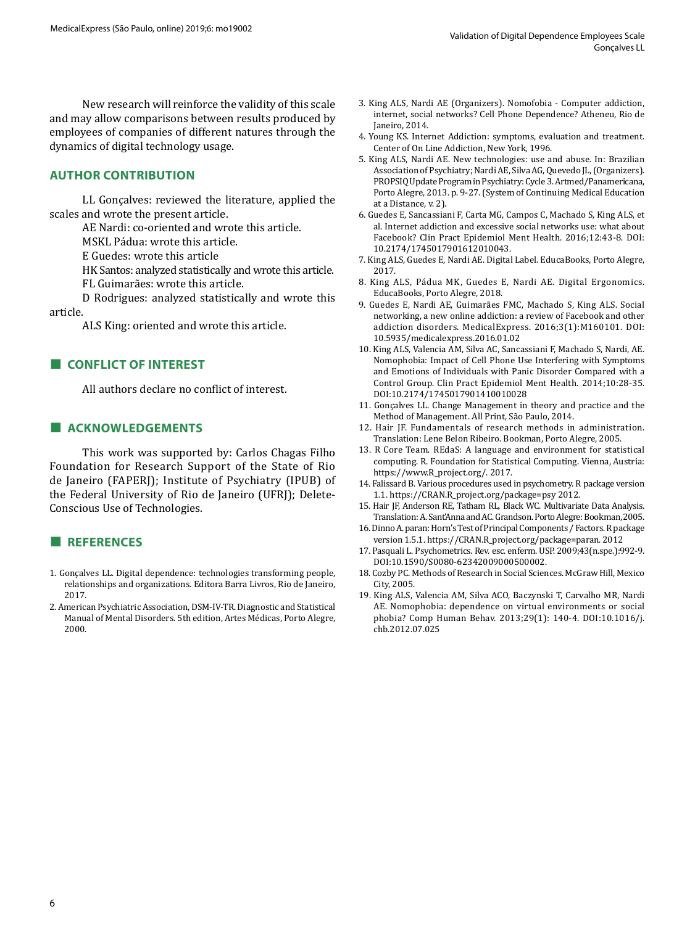New research will reinforce the validity of this scale and may allow comparisons between results produced by employees of companies of different natures through the dynamics of digital technology usage.

## **AUTHOR CONTRIBUTION**

LL Gonçalves: reviewed the literature, applied the scales and wrote the present article.

AE Nardi: co-oriented and wrote this article.

MSKL Pádua: wrote this article.

E Guedes: wrote this article

HK Santos: analyzed statistically and wrote this article. FL Guimarães: wrote this article.

D Rodrigues: analyzed statistically and wrote this article.

ALS King: oriented and wrote this article.

### **■ CONFLICT OF INTEREST**

All authors declare no conflict of interest.

# **■ ACKNOWLEDGEMENTS**

This work was supported by: Carlos Chagas Filho Foundation for Research Support of the State of Rio de Janeiro (FAPERJ); Institute of Psychiatry (IPUB) of the Federal University of Rio de Janeiro (UFRJ); Delete-Conscious Use of Technologies.

### **■ REFERENCES**

- 1. Gonçalves LL. Digital dependence: technologies transforming people, relationships and organizations. Editora Barra Livros, Rio de Janeiro, 2017.
- 2. American Psychiatric Association, DSM-IV-TR. Diagnostic and Statistical Manual of Mental Disorders. 5th edition, Artes Médicas, Porto Alegre, 2000.
- 3. King ALS, Nardi AE (Organizers). Nomofobia Computer addiction, internet, social networks? Cell Phone Dependence? Atheneu, Rio de Janeiro, 2014.
- 4. Young KS. Internet Addiction: symptoms, evaluation and treatment. Center of On Line Addiction, New York, 1996.
- 5. King ALS, Nardi AE. New technologies: use and abuse. In: Brazilian Association of Psychiatry; Nardi AE, Silva AG, Quevedo JL, (Organizers). PROPSIQ Update Program in Psychiatry: Cycle 3. Artmed/Panamericana, Porto Alegre, 2013. p. 9-27. (System of Continuing Medical Education at a Distance, v. 2).
- 6. Guedes E, Sancassiani F, Carta MG, Campos C, Machado S, King ALS, et al. Internet addiction and excessive social networks use: what about Facebook? Clin Pract Epidemiol Ment Health. 2016;12:43-8. DOI: 10.2174/1745017901612010043.
- 7. King ALS, Guedes E, Nardi AE. Digital Label. EducaBooks, Porto Alegre, 2017.
- 8. King ALS, Pádua MK, Guedes E, Nardi AE. Digital Ergonomics. EducaBooks, Porto Alegre, 2018.
- 9. Guedes E, Nardi AE, Guimarães FMC, Machado S, King ALS. Social networking, a new online addiction: a review of Facebook and other addiction disorders. MedicalExpress. 2016;3(1):M160101. DOI: 10.5935/medicalexpress.2016.01.02
- 10. King ALS, Valencia AM, Silva AC, Sancassiani F, Machado S, Nardi, AE. Nomophobia: Impact of Cell Phone Use Interfering with Symptoms and Emotions of Individuals with Panic Disorder Compared with a Control Group. Clin Pract Epidemiol Ment Health. 2014;10:28-35. DOI:10.2174/1745017901410010028
- 11. Gonçalves LL. Change Management in theory and practice and the Method of Management. All Print, São Paulo, 2014.
- 12. Hair JF. Fundamentals of research methods in administration. Translation: Lene Belon Ribeiro. Bookman, Porto Alegre, 2005.
- 13. R Core Team. REdaS: A language and environment for statistical computing. R. Foundation for Statistical Computing. Vienna, Austria: https://www.R\_project.org/. 2017.
- 14. Falissard B. Various procedures used in psychometry. R package version 1.1. https://CRAN.R\_project.org/package=psy 2012.
- 15. Hair JF, Anderson RE, Tatham RL, Black WC. Multivariate Data Analysis. Translation: A. Sant'Anna and AC. Grandson. Porto Alegre: Bookman, 2005.
- 16. Dinno A. paran: Horn's Test of Principal Components / Factors. R package version 1.5.1. https://CRAN.R\_project.org/package=paran. 2012
- 17. Pasquali L. Psychometrics. Rev. esc. enferm. USP. 2009;43(n.spe.):992-9. DOI:10.1590/S0080-62342009000500002.
- 18. Cozby PC. Methods of Research in Social Sciences. McGraw Hill, Mexico City, 2005.
- 19. King ALS, Valencia AM, Silva ACO, Baczynski T, Carvalho MR, Nardi AE. Nomophobia: dependence on virtual environments or social phobia? Comp Human Behav. 2013;29(1): 140-4. DOI:10.1016/j. chb.2012.07.025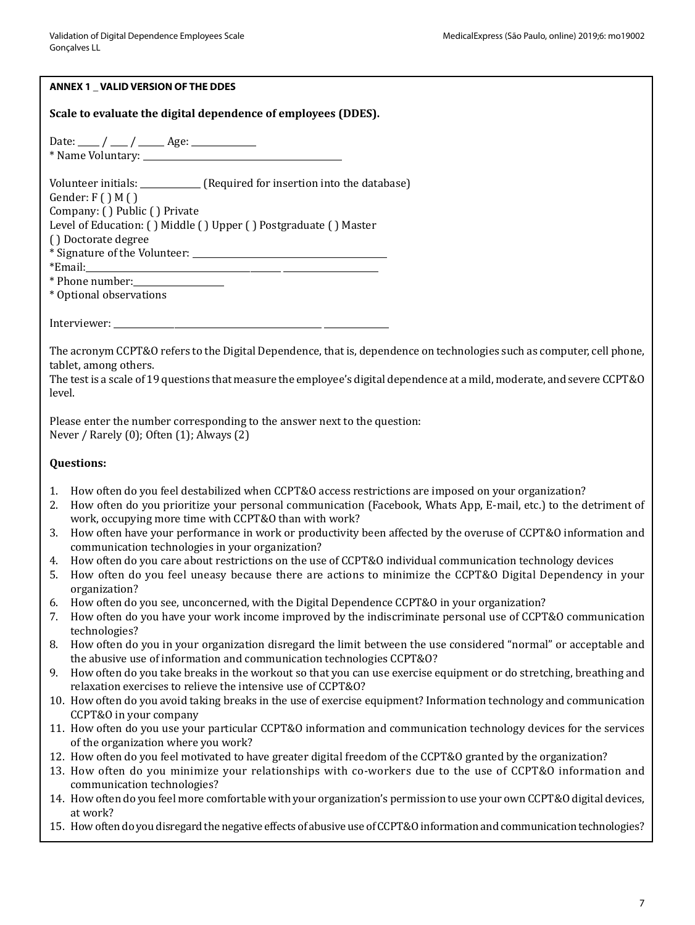|  | ANNEX 1 VALID VERSION OF THE DDES |
|--|-----------------------------------|
|--|-----------------------------------|

**Scale to evaluate the digital dependence of employees (DDES).**

Date: \_\_\_\_\_ / \_\_\_\_ / \_\_\_\_\_\_ Age: \_\_\_\_\_\_\_\_\_\_\_\_\_\_\_ \* Name Voluntary: \_\_\_\_\_\_\_\_\_\_\_\_\_\_\_\_\_\_\_\_\_\_\_\_\_\_\_\_\_\_\_\_\_\_\_\_\_\_\_\_\_\_\_\_\_\_

| Volunteer initials: ____________(Required for insertion into the database) |  |
|----------------------------------------------------------------------------|--|
| Gender: $F()M()$                                                           |  |
| Company: () Public () Private                                              |  |
| Level of Education: () Middle () Upper () Postgraduate () Master           |  |
| () Doctorate degree                                                        |  |
|                                                                            |  |
|                                                                            |  |
| * Phone number:                                                            |  |
|                                                                            |  |

\* Optional observations

Interviewer:

The acronym CCPT&O refers to the Digital Dependence, that is, dependence on technologies such as computer, cell phone, tablet, among others.

The test is a scale of 19 questions that measure the employee's digital dependence at a mild, moderate, and severe CCPT&O level.

Please enter the number corresponding to the answer next to the question: Never / Rarely (0); Often (1); Always (2)

### **Questions:**

- 1. How often do you feel destabilized when CCPT&O access restrictions are imposed on your organization?<br>2. How often do you prioritize your personal communication (Facebook, Whats App. E-mail, etc.) to the d
- 2. How often do you prioritize your personal communication (Facebook, Whats App, E-mail, etc.) to the detriment of work, occupying more time with CCPT&O than with work?
- 3. How often have your performance in work or productivity been affected by the overuse of CCPT&O information and communication technologies in your organization?
- 4. How often do you care about restrictions on the use of CCPT&O individual communication technology devices<br>5. How often do you feel uneasy because there are actions to minimize the CCPT&O Digital Dependency in
- 5. How often do you feel uneasy because there are actions to minimize the CCPT&O Digital Dependency in your organization?
- 6. How often do you see, unconcerned, with the Digital Dependence CCPT&O in your organization?<br>7. How often do you have your work income improved by the indiscriminate personal use of CCPT
- 7. How often do you have your work income improved by the indiscriminate personal use of CCPT&O communication technologies?
- 8. How often do you in your organization disregard the limit between the use considered "normal" or acceptable and the abusive use of information and communication technologies CCPT&O?
- 9. How often do you take breaks in the workout so that you can use exercise equipment or do stretching, breathing and relaxation exercises to relieve the intensive use of CCPT&O?
- 10. How often do you avoid taking breaks in the use of exercise equipment? Information technology and communication CCPT&O in your company
- 11. How often do you use your particular CCPT&O information and communication technology devices for the services of the organization where you work?
- 12. How often do you feel motivated to have greater digital freedom of the CCPT&O granted by the organization?
- 13. How often do you minimize your relationships with co-workers due to the use of CCPT&O information and communication technologies?
- 14. How often do you feel more comfortable with your organization's permission to use your own CCPT&O digital devices, at work?
- 15. How often do you disregard the negative effects of abusive use of CCPT&O information and communication technologies?